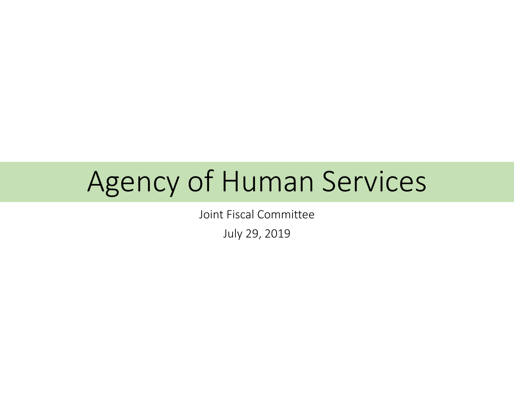## Agency of Human Services

Joint Fiscal Committee

July 29, 2019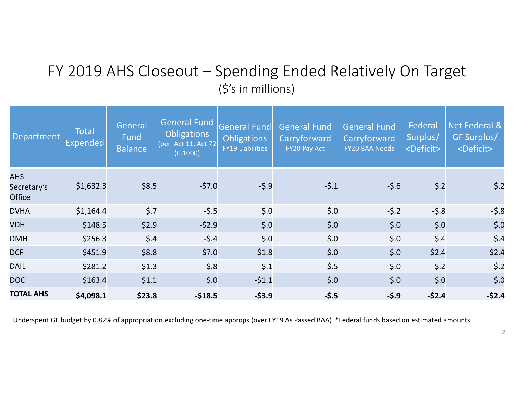## FY 2019 AHS Closeout – Spending Ended Relatively On Target (\$'s in millions)

| Department                                 | <b>Total</b><br>Expended | General<br>Fund<br><b>Balance</b> | <b>General Fund</b><br><b>Obligations</b><br>Act 11, Act 72<br>[per]<br>(C.1000) | <b>General Fund</b><br><b>Obligations</b><br><b>FY19 Liabilities</b> | <b>General Fund</b><br>Carryforward<br>FY20 Pay Act | <b>General Fund</b><br>Carryforward<br><b>FY20 BAA Needs</b> | Federal<br>Surplus/<br><deficit></deficit> | Net Federal &<br>GF Surplus/<br><deficit></deficit> |
|--------------------------------------------|--------------------------|-----------------------------------|----------------------------------------------------------------------------------|----------------------------------------------------------------------|-----------------------------------------------------|--------------------------------------------------------------|--------------------------------------------|-----------------------------------------------------|
| <b>AHS</b><br>Secretary's<br><b>Office</b> | \$1,632.3                | \$8.5                             | $-57.0$                                                                          | $-5.9$                                                               | $-5.1$                                              | $-5.6$                                                       | $\vert$ \$.2                               | $\dot{\mathsf{S}}$ .2                               |
| <b>DVHA</b>                                | \$1,164.4                | $\frac{2}{5}$ .7                  | $-5.5$                                                                           | $\boldsymbol{\xi}$ .0                                                | \$.0                                                | $-5.2$                                                       | $-5.8$                                     | $-5.8$                                              |
| <b>VDH</b>                                 | \$148.5                  | \$2.9                             | $-52.9$                                                                          | $\boldsymbol{\xi}$ .0                                                | \$.0                                                | $\boldsymbol{\xi}$ .0                                        | \$.0                                       | \$.0                                                |
| <b>DMH</b>                                 | \$256.3                  | $\vert$ \$.4                      | $-5.4$                                                                           | $\boldsymbol{\xi}$ .0                                                | \$.0                                                | \$.0                                                         | \$.4                                       | $\frac{2}{3}$ .4                                    |
| <b>DCF</b>                                 | \$451.9                  | \$8.8                             | $-57.0$                                                                          | $-51.8$                                                              | \$.0                                                | $\boldsymbol{\xi}$ .0                                        | $-52.4$                                    | $-52.4$                                             |
| <b>DAIL</b>                                | \$281.2                  | \$1.3                             | $-5.8$                                                                           | $-5.1$                                                               | $-5.5$                                              | $\boldsymbol{\xi}$ .0                                        | $\vert$ \$.2                               | \$.2                                                |
| DOC                                        | \$163.4                  | \$1.1                             | \$.0                                                                             | $-51.1$                                                              | \$.0                                                | $\boldsymbol{\xi}$ .0                                        | \$.0                                       | \$.0                                                |
| <b>TOTAL AHS</b>                           | \$4,098.1                | \$23.8                            | $-$18.5$                                                                         | $-53.9$                                                              | $-5.5$                                              | $-5.9$                                                       | $-52.4$                                    | $-52.4$                                             |

Underspent GF budget by 0.82% of appropriation excluding one-time approps (over FY19 As Passed BAA) \*Federal funds based on estimated amounts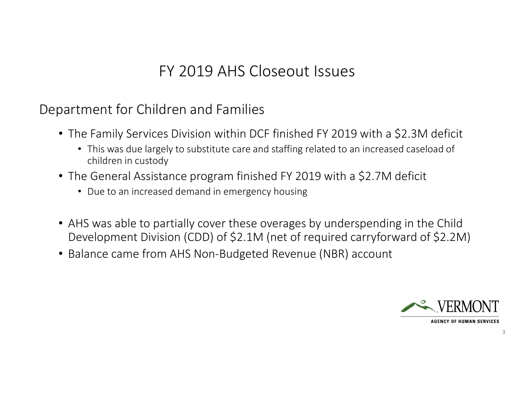## FY 2019 AHS Closeout Issues

Department for Children and Families

- The Family Services Division within DCF finished FY 2019 with a \$2.3M deficit
	- This was due largely to substitute care and staffing related to an increased caseload of children in custody
- The General Assistance program finished FY 2019 with a \$2.7M deficit
	- Due to an increased demand in emergency housing
- AHS was able to partially cover these overages by underspending in the Child Development Division (CDD) of \$2.1M (net of required carryforward of \$2.2M)
- Balance came from AHS Non-Budgeted Revenue (NBR) account



**AGENCY OF HUMAN SERVICES**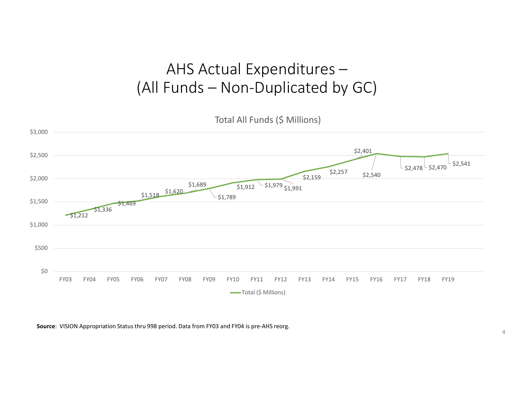## AHS Actual Expenditures –(All Funds – Non-Duplicated by GC)

Total All Funds (\$ Millions)



**Source**: VISION Appropriation Status thru 998 period. Data from FY03 and FY04 is pre-AHS reorg.